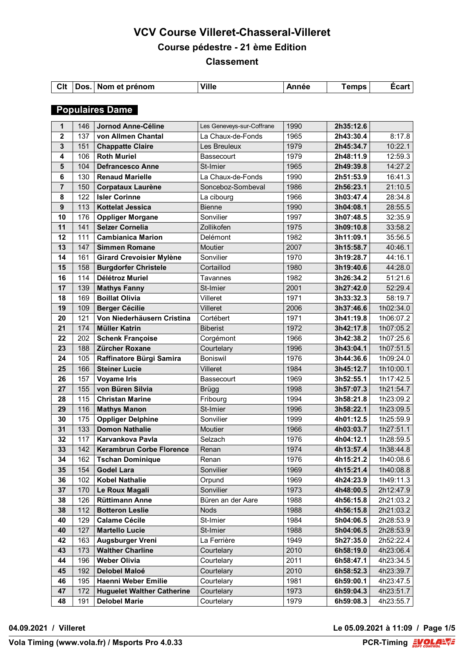| Clt | Dos. | Nom et prénom | <b>Ville</b> | \nnée | remps | Ecart |
|-----|------|---------------|--------------|-------|-------|-------|
|     |      |               |              |       |       |       |

## **Populaires Dame**

| 1                       | 146 | Jornod Anne-Céline                | Les Geneveys-sur-Coffrane | 1990 | 2h35:12.6 |           |
|-------------------------|-----|-----------------------------------|---------------------------|------|-----------|-----------|
| $\overline{\mathbf{2}}$ | 137 | von Allmen Chantal                | La Chaux-de-Fonds         | 1965 | 2h43:30.4 | 8:17.8    |
| $\mathbf{3}$            | 151 | <b>Chappatte Claire</b>           | Les Breuleux              | 1979 | 2h45:34.7 | 10:22.1   |
| 4                       | 106 | <b>Roth Muriel</b>                | <b>Bassecourt</b>         | 1979 | 2h48:11.9 | 12:59.3   |
| $5\phantom{1}$          | 104 | <b>Defrancesco Anne</b>           | St-Imier                  | 1965 | 2h49:39.8 | 14:27.2   |
| $\bf 6$                 | 130 | <b>Renaud Marielle</b>            | La Chaux-de-Fonds         | 1990 | 2h51:53.9 | 16:41.3   |
| $\overline{7}$          | 150 | <b>Corpataux Laurène</b>          | Sonceboz-Sombeval         | 1986 | 2h56:23.1 | 21:10.5   |
| 8                       | 122 | <b>Isler Corinne</b>              | La cibourg                | 1966 | 3h03:47.4 | 28:34.8   |
| $\boldsymbol{9}$        | 113 | <b>Kottelat Jessica</b>           | <b>Bienne</b>             | 1990 | 3h04:08.1 | 28:55.5   |
| 10                      | 176 | <b>Oppliger Morgane</b>           | Sonvilier                 | 1997 | 3h07:48.5 | 32:35.9   |
| 11                      | 141 | <b>Selzer Cornelia</b>            | Zollikofen                | 1975 | 3h09:10.8 | 33:58.2   |
| 12                      | 111 | <b>Cambianica Marion</b>          | <b>Delémont</b>           | 1982 | 3h11:09.1 | 35:56.5   |
| 13                      | 147 | <b>Simmen Romane</b>              | Moutier                   | 2007 | 3h15:58.7 | 40:46.1   |
| 14                      | 161 | <b>Girard Crevoisier Mylène</b>   | Sonvilier                 | 1970 | 3h19:28.7 | 44:16.1   |
| 15                      | 158 | <b>Burgdorfer Christele</b>       | Cortaillod                | 1980 | 3h19:40.6 | 44:28.0   |
| 16                      | 114 | Délétroz Muriel                   | Tavannes                  | 1982 | 3h26:34.2 | 51:21.6   |
| 17                      | 139 | <b>Mathys Fanny</b>               | St-Imier                  | 2001 | 3h27:42.0 | 52:29.4   |
| 18                      | 169 | <b>Boillat Olivia</b>             | Villeret                  | 1971 | 3h33:32.3 | 58:19.7   |
| 19                      | 109 | <b>Berger Cécilie</b>             | Villeret                  | 2006 | 3h37:46.6 | 1h02:34.0 |
| 20                      | 121 | Von Niederhäusern Cristina        | Cortébert                 | 1971 | 3h41:19.8 | 1h06:07.2 |
| 21                      | 174 | <b>Müller Katrin</b>              | <b>Biberist</b>           | 1972 | 3h42:17.8 | 1h07:05.2 |
| 22                      | 202 | <b>Schenk Françoise</b>           | Corgémont                 | 1966 | 3h42:38.2 | 1h07:25.6 |
| 23                      | 188 | Zürcher Roxane                    | Courtelary                | 1996 | 3h43:04.1 | 1h07:51.5 |
| 24                      | 105 | Raffinatore Bürgi Samira          | <b>Boniswil</b>           | 1976 | 3h44:36.6 | 1h09:24.0 |
| 25                      | 166 | <b>Steiner Lucie</b>              | Villeret                  | 1984 | 3h45:12.7 | 1h10:00.1 |
| 26                      | 157 | <b>Voyame Iris</b>                | Bassecourt                | 1969 | 3h52:55.1 | 1h17:42.5 |
| 27                      | 155 | von Büren Silvia                  | <b>Brügg</b>              | 1998 | 3h57:07.3 | 1h21:54.7 |
| 28                      | 115 | <b>Christan Marine</b>            | Fribourg                  | 1994 | 3h58:21.8 | 1h23:09.2 |
| 29                      | 116 | <b>Mathys Manon</b>               | St-Imier                  | 1996 | 3h58:22.1 | 1h23:09.5 |
| 30                      | 175 | <b>Oppliger Delphine</b>          | Sonvilier                 | 1999 | 4h01:12.5 | 1h25:59.9 |
| 31                      | 133 | <b>Domon Nathalie</b>             | Moutier                   | 1966 | 4h03:03.7 | 1h27:51.1 |
| 32                      | 117 | Karvankova Pavla                  | Selzach                   | 1976 | 4h04:12.1 | 1h28:59.5 |
| 33                      | 142 | <b>Kerambrun Corbe Florence</b>   | Renan                     | 1974 | 4h13:57.4 | 1h38:44.8 |
| 34                      | 162 | <b>Tschan Dominique</b>           | Renan                     | 1976 | 4h15:21.2 | 1h40:08.6 |
| 35                      | 154 | <b>Godel Lara</b>                 | Sonvilier                 | 1969 | 4h15:21.4 | 1h40:08.8 |
| 36                      | 102 | <b>Kobel Nathalie</b>             | Orpund                    | 1969 | 4h24:23.9 | 1h49:11.3 |
| 37                      | 170 | Le Roux Magali                    | Sonvilier                 | 1973 | 4h48:00.5 | 2h12:47.9 |
| 38                      | 126 | <b>Rüttimann Anne</b>             | Büren an der Aare         | 1988 | 4h56:15.8 | 2h21:03.2 |
| 38                      | 112 | <b>Botteron Leslie</b>            | <b>Nods</b>               | 1988 | 4h56:15.8 | 2h21:03.2 |
| 40                      | 129 | <b>Calame Cécile</b>              | St-Imier                  | 1984 | 5h04:06.5 | 2h28:53.9 |
| 40                      | 127 | <b>Martello Lucie</b>             | St-Imier                  | 1988 | 5h04:06.5 | 2h28:53.9 |
| 42                      | 163 | <b>Augsburger Vreni</b>           | La Ferrière               | 1949 | 5h27:35.0 | 2h52:22.4 |
| 43                      | 173 | <b>Walther Charline</b>           | Courtelary                | 2010 | 6h58:19.0 | 4h23:06.4 |
| 44                      | 196 | <b>Weber Olivia</b>               | Courtelary                | 2011 | 6h58:47.1 | 4h23:34.5 |
| 45                      | 192 | Delobel Maloé                     | Courtelary                | 2010 | 6h58:52.3 | 4h23:39.7 |
| 46                      | 195 | Haenni Weber Emilie               | Courtelary                | 1981 | 6h59:00.1 | 4h23:47.5 |
| 47                      | 172 | <b>Huguelet Walther Catherine</b> | Courtelary                | 1973 | 6h59:04.3 | 4h23:51.7 |
|                         |     | <b>Delobel Marie</b>              |                           |      |           |           |
| 48                      | 191 |                                   | Courtelary                | 1979 | 6h59:08.3 | 4h23:55.7 |

**04.09.2021 / Villeret Le 05.09.2021 à 11:09 / Page 1/5**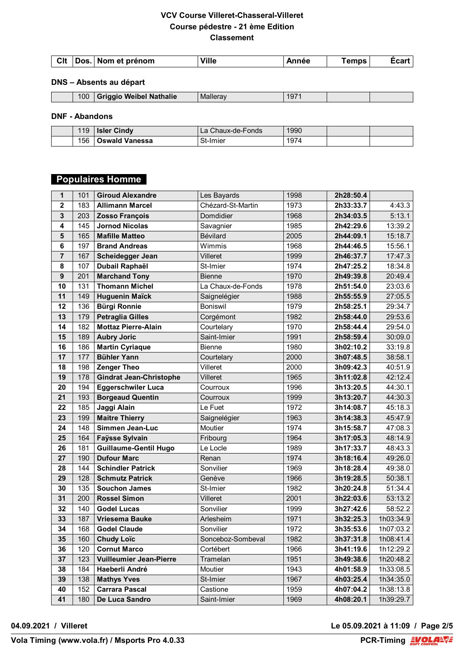## **DNS – Absents au départ**

| 100<br>Wei<br><b>Weibel Nathalie</b><br>M2<br>$\sim$<br>19.<br>. |  |
|------------------------------------------------------------------|--|
|------------------------------------------------------------------|--|

## **DNF - Abandons**

| 19  | Cindy<br>Isler        | Chaux-de-Fonds<br>Ld. | 1990 |  |
|-----|-----------------------|-----------------------|------|--|
| 156 | <b>Dswald Vanessa</b> | 3t-Imier              | 1974 |  |

# **Populaires Homme**

| 1                | 101 | <b>Giroud Alexandre</b>        | Les Bayards       | 1998 | 2h28:50.4 |           |
|------------------|-----|--------------------------------|-------------------|------|-----------|-----------|
| $\overline{2}$   | 183 | <b>Allimann Marcel</b>         | Chézard-St-Martin | 1973 | 2h33:33.7 | 4:43.3    |
| 3                | 203 | <b>Zosso François</b>          | Domdidier         | 1968 | 2h34:03.5 | 5:13.1    |
| 4                | 145 | <b>Jornod Nicolas</b>          | Savagnier         | 1985 | 2h42:29.6 | 13:39.2   |
| $5\phantom{1}$   | 165 | <b>Mafille Matteo</b>          | Bévilard          | 2005 | 2h44:09.1 | 15:18.7   |
| 6                | 197 | <b>Brand Andreas</b>           | Wimmis            | 1968 | 2h44:46.5 | 15:56.1   |
| $\overline{7}$   | 167 | Scheidegger Jean               | Villeret          | 1999 | 2h46:37.7 | 17:47.3   |
| 8                | 107 | Dubail Raphaël                 | St-Imier          | 1974 | 2h47:25.2 | 18:34.8   |
| $\boldsymbol{9}$ | 201 | <b>Marchand Tony</b>           | <b>Bienne</b>     | 1970 | 2h49:39.8 | 20:49.4   |
| 10               | 131 | <b>Thomann Michel</b>          | La Chaux-de-Fonds | 1978 | 2h51:54.0 | 23:03.6   |
| 11               | 149 | <b>Huguenin Maïck</b>          | Saignelégier      | 1988 | 2h55:55.9 | 27:05.5   |
| 12               | 136 | <b>Bürgi Ronnie</b>            | Boniswil          | 1979 | 2h58:25.1 | 29:34.7   |
| 13               | 179 | <b>Petraglia Gilles</b>        | Corgémont         | 1982 | 2h58:44.0 | 29:53.6   |
| 14               | 182 | <b>Mottaz Pierre-Alain</b>     | Courtelary        | 1970 | 2h58:44.4 | 29:54.0   |
| 15               | 189 | <b>Aubry Joric</b>             | Saint-Imier       | 1991 | 2h58:59.4 | 30:09.0   |
| 16               | 186 | <b>Martin Cyriaque</b>         | <b>Bienne</b>     | 1980 | 3h02:10.2 | 33:19.8   |
| 17               | 177 | <b>Bühler Yann</b>             | Courtelary        | 2000 | 3h07:48.5 | 38:58.1   |
| 18               | 198 | <b>Zenger Theo</b>             | Villeret          | 2000 | 3h09:42.3 | 40:51.9   |
| 19               | 178 | <b>Gindrat Jean-Christophe</b> | Villeret          | 1965 | 3h11:02.8 | 42:12.4   |
| 20               | 194 | <b>Eggerschwiler Luca</b>      | Courroux          | 1996 | 3h13:20.5 | 44:30.1   |
| 21               | 193 | <b>Borgeaud Quentin</b>        | Courroux          | 1999 | 3h13:20.7 | 44:30.3   |
| 22               | 185 | Jaggi Alain                    | Le Fuet           | 1972 | 3h14:08.7 | 45:18.3   |
| 23               | 199 | <b>Maitre Thierry</b>          | Saignelégier      | 1963 | 3h14:38.3 | 45:47.9   |
| 24               | 148 | Simmen Jean-Luc                | Moutier           | 1974 | 3h15:58.7 | 47:08.3   |
| 25               | 164 | <b>Faysse Sylvain</b>          | Fribourg          | 1964 | 3h17:05.3 | 48:14.9   |
| 26               | 181 | <b>Guillaume-Gentil Hugo</b>   | Le Locle          | 1989 | 3h17:33.7 | 48:43.3   |
| 27               | 190 | <b>Dufour Marc</b>             | Renan             | 1974 | 3h18:16.4 | 49:26.0   |
| 28               | 144 | <b>Schindler Patrick</b>       | Sonvilier         | 1969 | 3h18:28.4 | 49:38.0   |
| 29               | 128 | <b>Schmutz Patrick</b>         | Genève            | 1966 | 3h19:28.5 | 50:38.1   |
| 30               | 135 | <b>Souchon James</b>           | St-Imier          | 1982 | 3h20:24.8 | 51:34.4   |
| 31               | 200 | <b>Rossel Simon</b>            | Villeret          | 2001 | 3h22:03.6 | 53:13.2   |
| 32               | 140 | <b>Godel Lucas</b>             | Sonvilier         | 1999 | 3h27:42.6 | 58:52.2   |
| 33               | 187 | Vriesema Bauke                 | Arlesheim         | 1971 | 3h32:25.3 | 1h03:34.9 |
| 34               | 168 | <b>Godel Claude</b>            | Sonvilier         | 1972 | 3h35:53.6 | 1h07:03.2 |
| 35               | 160 | <b>Chudy Loïc</b>              | Sonceboz-Sombeval | 1982 | 3h37:31.8 | 1h08:41.4 |
| 36               | 120 | <b>Cornut Marco</b>            | Cortébert         | 1966 | 3h41:19.6 | 1h12:29.2 |
| 37               | 123 | <b>Vuilleumier Jean-Pierre</b> | Tramelan          | 1951 | 3h49:38.6 | 1h20:48.2 |
| 38               | 184 | Haeberli André                 | Moutier           | 1943 | 4h01:58.9 | 1h33:08.5 |
| 39               | 138 | <b>Mathys Yves</b>             | St-Imier          | 1967 | 4h03:25.4 | 1h34:35.0 |
| 40               | 152 | <b>Carrara Pascal</b>          | Castione          | 1959 | 4h07:04.2 | 1h38:13.8 |
| 41               | 180 | De Luca Sandro                 | Saint-Imier       | 1969 | 4h08:20.1 | 1h39:29.7 |

**04.09.2021 / Villeret Le 05.09.2021 à 11:09 / Page 2/5**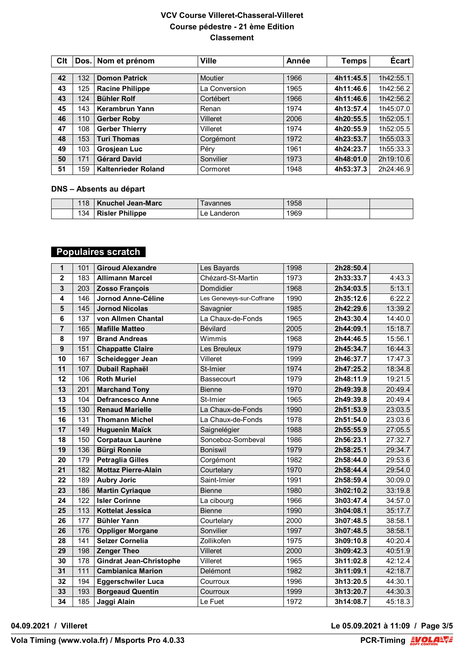| Clt | Dos. | Nom et prénom              | <b>Ville</b>   | Année | <b>Temps</b> | Écart     |
|-----|------|----------------------------|----------------|-------|--------------|-----------|
|     |      |                            |                |       |              |           |
| 42  | 132  | <b>Domon Patrick</b>       | <b>Moutier</b> | 1966  | 4h11:45.5    | 1h42:55.1 |
| 43  | 125  | <b>Racine Philippe</b>     | La Conversion  | 1965  | 4h11:46.6    | 1h42:56.2 |
| 43  | 124  | <b>Bühler Rolf</b>         | Cortébert      | 1966  | 4h11:46.6    | 1h42:56.2 |
| 45  | 143  | Kerambrun Yann             | Renan          | 1974  | 4h13:57.4    | 1h45:07.0 |
| 46  | 110  | <b>Gerber Roby</b>         | Villeret       | 2006  | 4h20:55.5    | 1h52:05.1 |
| 47  | 108  | <b>Gerber Thierry</b>      | Villeret       | 1974  | 4h20:55.9    | 1h52:05.5 |
| 48  | 153  | <b>Turi Thomas</b>         | Corgémont      | 1972  | 4h23:53.7    | 1h55:03.3 |
| 49  | 103  | Grosjean Luc               | Péry           | 1961  | 4h24:23.7    | 1h55:33.3 |
| 50  | 171  | <b>Gérard David</b>        | Sonvilier      | 1973  | 4h48:01.0    | 2h19:10.6 |
| 51  | 159  | <b>Kaltenrieder Roland</b> | Cormoret       | 1948  | 4h53:37.3    | 2h24:46.9 |

#### **DNS – Absents au départ**

| 18 | ˈ Knuchel Jean-Marc`   | avannes        | 1958 |  |
|----|------------------------|----------------|------|--|
| 34 | <b>Risler Philippe</b> | _anderon_<br>e | 1969 |  |

# **Populaires scratch**

| 1                | 101 | <b>Giroud Alexandre</b>        | Les Bayards               | 1998 | 2h28:50.4 |         |
|------------------|-----|--------------------------------|---------------------------|------|-----------|---------|
| $\overline{2}$   | 183 | <b>Allimann Marcel</b>         | Chézard-St-Martin         | 1973 | 2h33:33.7 | 4:43.3  |
| $\mathbf{3}$     | 203 | <b>Zosso François</b>          | Domdidier                 | 1968 | 2h34:03.5 | 5:13.1  |
| 4                | 146 | Jornod Anne-Céline             | Les Geneveys-sur-Coffrane | 1990 | 2h35:12.6 | 6:22.2  |
| $5\phantom{1}$   | 145 | <b>Jornod Nicolas</b>          | Savagnier                 | 1985 | 2h42:29.6 | 13:39.2 |
| 6                | 137 | von Allmen Chantal             | La Chaux-de-Fonds         | 1965 | 2h43:30.4 | 14:40.0 |
| $\overline{7}$   | 165 | <b>Mafille Matteo</b>          | Bévilard                  | 2005 | 2h44:09.1 | 15:18.7 |
| 8                | 197 | <b>Brand Andreas</b>           | Wimmis                    | 1968 | 2h44:46.5 | 15:56.1 |
| $\boldsymbol{9}$ | 151 | <b>Chappatte Claire</b>        | Les Breuleux              | 1979 | 2h45:34.7 | 16:44.3 |
| 10               | 167 | Scheidegger Jean               | Villeret                  | 1999 | 2h46:37.7 | 17:47.3 |
| 11               | 107 | Dubail Raphaël                 | St-Imier                  | 1974 | 2h47:25.2 | 18:34.8 |
| 12               | 106 | <b>Roth Muriel</b>             | Bassecourt                | 1979 | 2h48:11.9 | 19:21.5 |
| 13               | 201 | <b>Marchand Tony</b>           | <b>Bienne</b>             | 1970 | 2h49:39.8 | 20:49.4 |
| 13               | 104 | <b>Defrancesco Anne</b>        | St-Imier                  | 1965 | 2h49:39.8 | 20:49.4 |
| 15               | 130 | <b>Renaud Marielle</b>         | La Chaux-de-Fonds         | 1990 | 2h51:53.9 | 23:03.5 |
| 16               | 131 | <b>Thomann Michel</b>          | La Chaux-de-Fonds         | 1978 | 2h51:54.0 | 23:03.6 |
| 17               | 149 | <b>Huguenin Maïck</b>          | Saignelégier              | 1988 | 2h55:55.9 | 27:05.5 |
| 18               | 150 | <b>Corpataux Laurène</b>       | Sonceboz-Sombeval         | 1986 | 2h56:23.1 | 27:32.7 |
| 19               | 136 | <b>Bürgi Ronnie</b>            | <b>Boniswil</b>           | 1979 | 2h58:25.1 | 29:34.7 |
| 20               | 179 | <b>Petraglia Gilles</b>        | Corgémont                 | 1982 | 2h58:44.0 | 29:53.6 |
| 21               | 182 | <b>Mottaz Pierre-Alain</b>     | Courtelary                | 1970 | 2h58:44.4 | 29:54.0 |
| 22               | 189 | <b>Aubry Joric</b>             | Saint-Imier               | 1991 | 2h58:59.4 | 30:09.0 |
| 23               | 186 | <b>Martin Cyriaque</b>         | <b>Bienne</b>             | 1980 | 3h02:10.2 | 33:19.8 |
| 24               | 122 | <b>Isler Corinne</b>           | La cibourg                | 1966 | 3h03:47.4 | 34:57.0 |
| 25               | 113 | Kottelat Jessica               | <b>Bienne</b>             | 1990 | 3h04:08.1 | 35:17.7 |
| 26               | 177 | <b>Bühler Yann</b>             | Courtelary                | 2000 | 3h07:48.5 | 38:58.1 |
| 26               | 176 | <b>Oppliger Morgane</b>        | Sonvilier                 | 1997 | 3h07:48.5 | 38:58.1 |
| 28               | 141 | <b>Selzer Cornelia</b>         | Zollikofen                | 1975 | 3h09:10.8 | 40:20.4 |
| 29               | 198 | <b>Zenger Theo</b>             | Villeret                  | 2000 | 3h09:42.3 | 40:51.9 |
| 30               | 178 | <b>Gindrat Jean-Christophe</b> | Villeret                  | 1965 | 3h11:02.8 | 42:12.4 |
| 31               | 111 | <b>Cambianica Marion</b>       | Delémont                  | 1982 | 3h11:09.1 | 42:18.7 |
| 32               | 194 | <b>Eggerschwiler Luca</b>      | Courroux                  | 1996 | 3h13:20.5 | 44:30.1 |
| 33               | 193 | <b>Borgeaud Quentin</b>        | Courroux                  | 1999 | 3h13:20.7 | 44:30.3 |
| 34               | 185 | Jaggi Alain                    | Le Fuet                   | 1972 | 3h14:08.7 | 45:18.3 |

**04.09.2021 / Villeret Le 05.09.2021 à 11:09 / Page 3/5**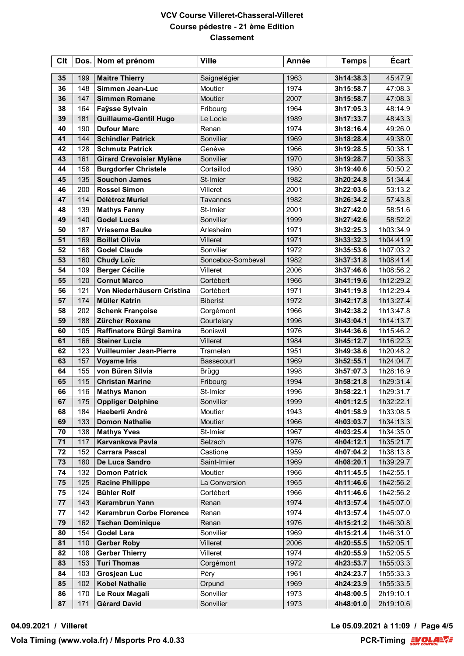| Clt |     | Dos. Nom et prénom              | <b>Ville</b>      | Année | <b>Temps</b> | Écart     |
|-----|-----|---------------------------------|-------------------|-------|--------------|-----------|
| 35  | 199 | <b>Maitre Thierry</b>           | Saignelégier      | 1963  | 3h14:38.3    | 45:47.9   |
| 36  | 148 | Simmen Jean-Luc                 | Moutier           | 1974  | 3h15:58.7    | 47:08.3   |
| 36  | 147 | <b>Simmen Romane</b>            | <b>Moutier</b>    | 2007  | 3h15:58.7    | 47:08.3   |
| 38  | 164 | Faÿsse Sylvain                  | Fribourg          | 1964  | 3h17:05.3    | 48:14.9   |
| 39  | 181 | <b>Guillaume-Gentil Hugo</b>    | Le Locle          | 1989  | 3h17:33.7    | 48:43.3   |
| 40  | 190 | <b>Dufour Marc</b>              | Renan             | 1974  | 3h18:16.4    | 49:26.0   |
| 41  | 144 | <b>Schindler Patrick</b>        | Sonvilier         | 1969  | 3h18:28.4    | 49:38.0   |
| 42  | 128 | <b>Schmutz Patrick</b>          | Genève            | 1966  | 3h19:28.5    | 50:38.1   |
| 43  | 161 | <b>Girard Crevoisier Mylène</b> | Sonvilier         | 1970  | 3h19:28.7    | 50:38.3   |
| 44  | 158 | <b>Burgdorfer Christele</b>     | Cortaillod        | 1980  | 3h19:40.6    | 50:50.2   |
| 45  | 135 | <b>Souchon James</b>            | St-Imier          | 1982  | 3h20:24.8    | 51:34.4   |
| 46  | 200 | <b>Rossel Simon</b>             | Villeret          | 2001  | 3h22:03.6    | 53:13.2   |
| 47  | 114 | Délétroz Muriel                 | Tavannes          | 1982  | 3h26:34.2    | 57:43.8   |
| 48  | 139 | <b>Mathys Fanny</b>             | St-Imier          | 2001  | 3h27:42.0    | 58:51.6   |
| 49  | 140 | <b>Godel Lucas</b>              | Sonvilier         | 1999  | 3h27:42.6    | 58:52.2   |
| 50  | 187 | <b>Vriesema Bauke</b>           | Arlesheim         | 1971  | 3h32:25.3    | 1h03:34.9 |
| 51  | 169 | <b>Boillat Olivia</b>           | Villeret          | 1971  | 3h33:32.3    | 1h04:41.9 |
| 52  | 168 | <b>Godel Claude</b>             | Sonvilier         | 1972  | 3h35:53.6    | 1h07:03.2 |
| 53  | 160 | <b>Chudy Loïc</b>               | Sonceboz-Sombeval | 1982  | 3h37:31.8    | 1h08:41.4 |
| 54  | 109 | <b>Berger Cécilie</b>           | Villeret          | 2006  | 3h37:46.6    | 1h08:56.2 |
| 55  | 120 | <b>Cornut Marco</b>             | Cortébert         | 1966  | 3h41:19.6    | 1h12:29.2 |
| 56  | 121 | Von Niederhäusern Cristina      | Cortébert         | 1971  | 3h41:19.8    | 1h12:29.4 |
| 57  | 174 | <b>Müller Katrin</b>            | <b>Biberist</b>   | 1972  | 3h42:17.8    | 1h13:27.4 |
| 58  | 202 | <b>Schenk Françoise</b>         | Corgémont         | 1966  | 3h42:38.2    | 1h13:47.8 |
| 59  | 188 | Zürcher Roxane                  | Courtelary        | 1996  | 3h43:04.1    | 1h14:13.7 |
| 60  | 105 | Raffinatore Bürgi Samira        | <b>Boniswil</b>   | 1976  | 3h44:36.6    | 1h15:46.2 |
| 61  | 166 | <b>Steiner Lucie</b>            | Villeret          | 1984  | 3h45:12.7    | 1h16:22.3 |
| 62  | 123 | <b>Vuilleumier Jean-Pierre</b>  | Tramelan          | 1951  | 3h49:38.6    | 1h20:48.2 |
| 63  | 157 | <b>Voyame Iris</b>              | Bassecourt        | 1969  | 3h52:55.1    | 1h24:04.7 |
| 64  | 155 | von Büren Silvia                | <b>Brügg</b>      | 1998  | 3h57:07.3    | 1h28:16.9 |
| 65  | 115 | <b>Christan Marine</b>          | Fribourg          | 1994  | 3h58:21.8    | 1h29:31.4 |
| 66  | 116 | <b>Mathys Manon</b>             | St-Imier          | 1996  | 3h58:22.1    | 1h29:31.7 |
| 67  | 175 | <b>Oppliger Delphine</b>        | Sonvilier         | 1999  | 4h01:12.5    | 1h32:22.1 |
| 68  | 184 | Haeberli André                  | Moutier           | 1943  | 4h01:58.9    | 1h33:08.5 |
| 69  | 133 | <b>Domon Nathalie</b>           | Moutier           | 1966  | 4h03:03.7    | 1h34:13.3 |
| 70  | 138 | <b>Mathys Yves</b>              | St-Imier          | 1967  | 4h03:25.4    | 1h34:35.0 |
| 71  | 117 | Karvankova Pavla                | Selzach           | 1976  | 4h04:12.1    | 1h35:21.7 |
| 72  | 152 | <b>Carrara Pascal</b>           | Castione          | 1959  | 4h07:04.2    | 1h38:13.8 |
| 73  | 180 | De Luca Sandro                  | Saint-Imier       | 1969  | 4h08:20.1    | 1h39:29.7 |
| 74  | 132 | <b>Domon Patrick</b>            | Moutier           | 1966  | 4h11:45.5    | 1h42:55.1 |
| 75  | 125 | <b>Racine Philippe</b>          | La Conversion     | 1965  | 4h11:46.6    | 1h42:56.2 |
| 75  | 124 | <b>Bühler Rolf</b>              | Cortébert         | 1966  | 4h11:46.6    | 1h42:56.2 |
| 77  | 143 | Kerambrun Yann                  | Renan             | 1974  | 4h13:57.4    | 1h45:07.0 |
| 77  | 142 | <b>Kerambrun Corbe Florence</b> | Renan             | 1974  | 4h13:57.4    | 1h45:07.0 |
| 79  | 162 | <b>Tschan Dominique</b>         | Renan             | 1976  | 4h15:21.2    | 1h46:30.8 |
| 80  | 154 | <b>Godel Lara</b>               | Sonvilier         | 1969  | 4h15:21.4    | 1h46:31.0 |
| 81  | 110 | <b>Gerber Roby</b>              | Villeret          | 2006  | 4h20:55.5    | 1h52:05.1 |
| 82  | 108 | <b>Gerber Thierry</b>           | Villeret          | 1974  | 4h20:55.9    | 1h52:05.5 |
| 83  | 153 | <b>Turi Thomas</b>              | Corgémont         | 1972  | 4h23:53.7    | 1h55:03.3 |
| 84  | 103 | <b>Grosjean Luc</b>             | Péry              | 1961  | 4h24:23.7    | 1h55:33.3 |
| 85  | 102 | <b>Kobel Nathalie</b>           | Orpund            | 1969  | 4h24:23.9    | 1h55:33.5 |
| 86  | 170 | Le Roux Magali                  | Sonvilier         | 1973  | 4h48:00.5    | 2h19:10.1 |
| 87  | 171 | <b>Gérard David</b>             | Sonvilier         | 1973  | 4h48:01.0    | 2h19:10.6 |

**04.09.2021 / Villeret Le 05.09.2021 à 11:09 / Page 4/5**